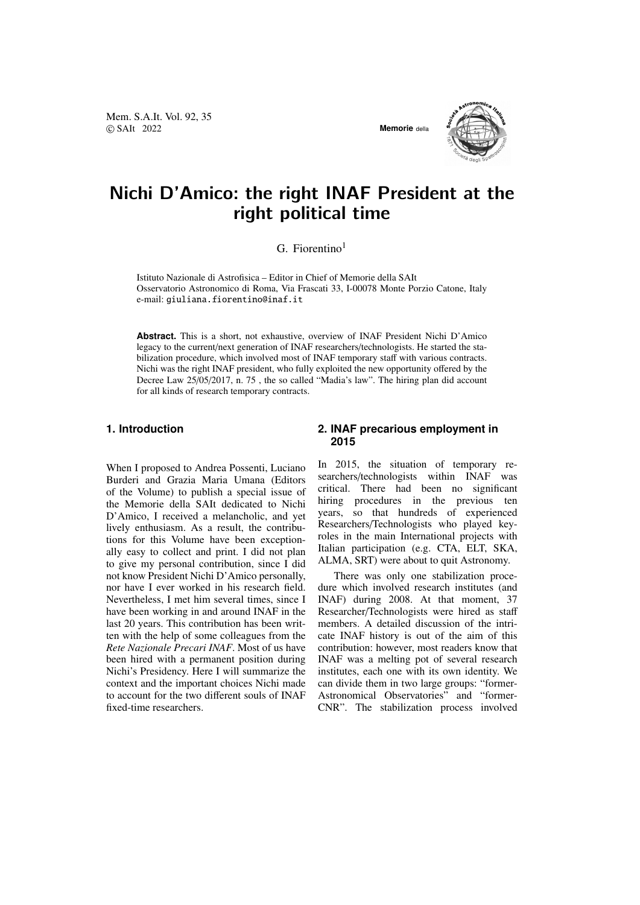Mem. S.A.It. Vol. 92, 35 © SAIt 2022 **Memorie** della





# Nichi D'Amico: the right INAF President at the right political time

# $G.$  Fiorentino<sup>1</sup>

Istituto Nazionale di Astrofisica – Editor in Chief of Memorie della SAIt Osservatorio Astronomico di Roma, Via Frascati 33, I-00078 Monte Porzio Catone, Italy e-mail: giuliana.fiorentino@inaf.it

**Abstract.** This is a short, not exhaustive, overview of INAF President Nichi D'Amico legacy to the current/next generation of INAF researchers/technologists. He started the stabilization procedure, which involved most of INAF temporary staff with various contracts. Nichi was the right INAF president, who fully exploited the new opportunity offered by the Decree Law 25/05/2017, n. 75 , the so called "Madia's law". The hiring plan did account for all kinds of research temporary contracts.

## **1. Introduction**

When I proposed to Andrea Possenti, Luciano Burderi and Grazia Maria Umana (Editors of the Volume) to publish a special issue of the Memorie della SAIt dedicated to Nichi D'Amico, I received a melancholic, and yet lively enthusiasm. As a result, the contributions for this Volume have been exceptionally easy to collect and print. I did not plan to give my personal contribution, since I did not know President Nichi D'Amico personally, nor have I ever worked in his research field. Nevertheless, I met him several times, since I have been working in and around INAF in the last 20 years. This contribution has been written with the help of some colleagues from the *Rete Nazionale Precari INAF*. Most of us have been hired with a permanent position during Nichi's Presidency. Here I will summarize the context and the important choices Nichi made to account for the two different souls of INAF fixed-time researchers.

## **2. INAF precarious employment in 2015**

In 2015, the situation of temporary researchers/technologists within INAF was critical. There had been no significant hiring procedures in the previous ten years, so that hundreds of experienced Researchers/Technologists who played keyroles in the main International projects with Italian participation (e.g. CTA, ELT, SKA, ALMA, SRT) were about to quit Astronomy.

There was only one stabilization procedure which involved research institutes (and INAF) during 2008. At that moment, 37 Researcher/Technologists were hired as staff members. A detailed discussion of the intricate INAF history is out of the aim of this contribution: however, most readers know that INAF was a melting pot of several research institutes, each one with its own identity. We can divide them in two large groups: "former-Astronomical Observatories" and "former-CNR". The stabilization process involved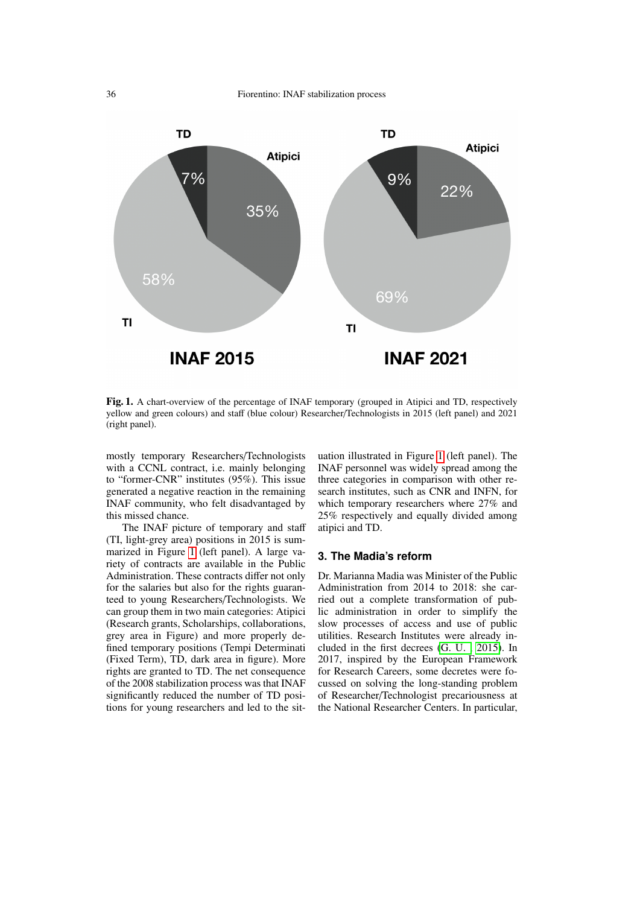

<span id="page-1-0"></span>Fig. 1. A chart-overview of the percentage of INAF temporary (grouped in Atipici and TD, respectively yellow and green colours) and staff (blue colour) Researcher/Technologists in 2015 (left panel) and 2021 (right panel).

mostly temporary Researchers/Technologists with a CCNL contract, i.e. mainly belonging to "former-CNR" institutes (95%). This issue generated a negative reaction in the remaining INAF community, who felt disadvantaged by this missed chance.

The INAF picture of temporary and staff (TI, light-grey area) positions in 2015 is summarized in Figure [1](#page-1-0) (left panel). A large variety of contracts are available in the Public Administration. These contracts differ not only for the salaries but also for the rights guaranteed to young Researchers/Technologists. We can group them in two main categories: Atipici (Research grants, Scholarships, collaborations, grey area in Figure) and more properly defined temporary positions (Tempi Determinati (Fixed Term), TD, dark area in figure). More rights are granted to TD. The net consequence of the 2008 stabilization process was that INAF significantly reduced the number of TD positions for young researchers and led to the situation illustrated in Figure [1](#page-1-0) (left panel). The INAF personnel was widely spread among the three categories in comparison with other research institutes, such as CNR and INFN, for which temporary researchers where 27% and 25% respectively and equally divided among atipici and TD.

#### **3. The Madia's reform**

Dr. Marianna Madia was Minister of the Public Administration from 2014 to 2018: she carried out a complete transformation of public administration in order to simplify the slow processes of access and use of public utilities. Research Institutes were already included in the first decrees [\(G. U. , 2015\)](#page-2-0). In 2017, inspired by the European Framework for Research Careers, some decretes were focussed on solving the long-standing problem of Researcher/Technologist precariousness at the National Researcher Centers. In particular,